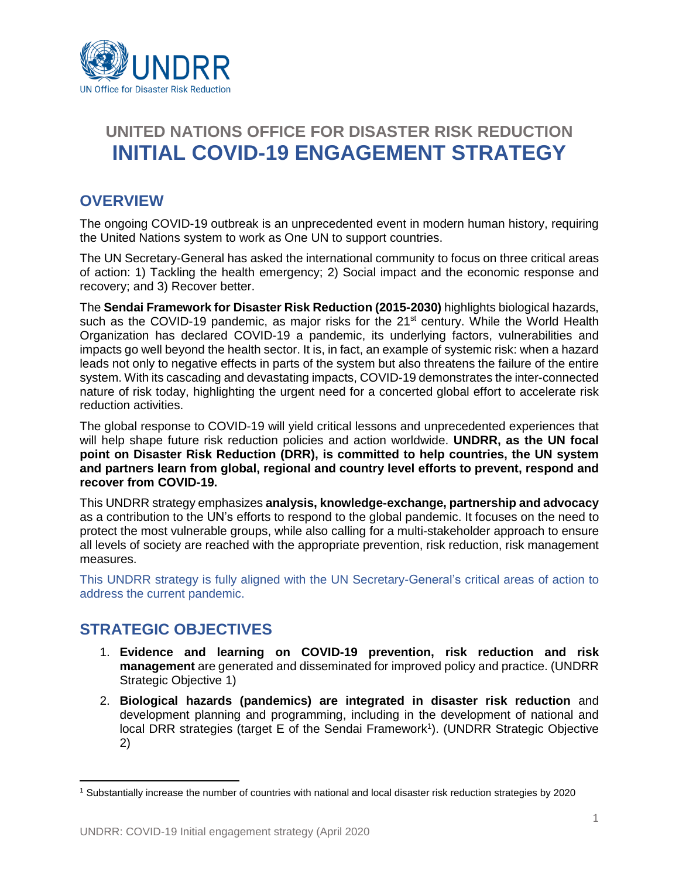

# **UNITED NATIONS OFFICE FOR DISASTER RISK REDUCTION INITIAL COVID-19 ENGAGEMENT STRATEGY**

### **OVERVIEW**

The ongoing COVID-19 outbreak is an unprecedented event in modern human history, requiring the United Nations system to work as One UN to support countries.

The UN Secretary-General has asked the international community to focus on three critical areas of action: 1) Tackling the health emergency; 2) Social impact and the economic response and recovery; and 3) Recover better.

The **Sendai Framework for Disaster Risk Reduction (2015-2030)** highlights biological hazards, such as the COVID-19 pandemic, as major risks for the 21<sup>st</sup> century. While the World Health Organization has declared COVID-19 a pandemic, its underlying factors, vulnerabilities and impacts go well beyond the health sector. It is, in fact, an example of systemic risk: when a hazard leads not only to negative effects in parts of the system but also threatens the failure of the entire system. With its cascading and devastating impacts, COVID-19 demonstrates the inter-connected nature of risk today, highlighting the urgent need for a concerted global effort to accelerate risk reduction activities.

The global response to COVID-19 will yield critical lessons and unprecedented experiences that will help shape future risk reduction policies and action worldwide. **UNDRR, as the UN focal point on Disaster Risk Reduction (DRR), is committed to help countries, the UN system and partners learn from global, regional and country level efforts to prevent, respond and recover from COVID-19.**

This UNDRR strategy emphasizes **analysis, knowledge-exchange, partnership and advocacy** as a contribution to the UN's efforts to respond to the global pandemic. It focuses on the need to protect the most vulnerable groups, while also calling for a multi-stakeholder approach to ensure all levels of society are reached with the appropriate prevention, risk reduction, risk management measures.

This UNDRR strategy is fully aligned with the UN Secretary-General's critical areas of action to address the current pandemic.

### **STRATEGIC OBJECTIVES**

 $\overline{a}$ 

- 1. **Evidence and learning on COVID-19 prevention, risk reduction and risk management** are generated and disseminated for improved policy and practice. (UNDRR Strategic Objective 1)
- 2. **Biological hazards (pandemics) are integrated in disaster risk reduction** and development planning and programming, including in the development of national and local DRR strategies (target E of the Sendai Framework<sup>1</sup>). (UNDRR Strategic Objective 2)

<sup>1</sup> Substantially increase the number of countries with national and local disaster risk reduction strategies by 2020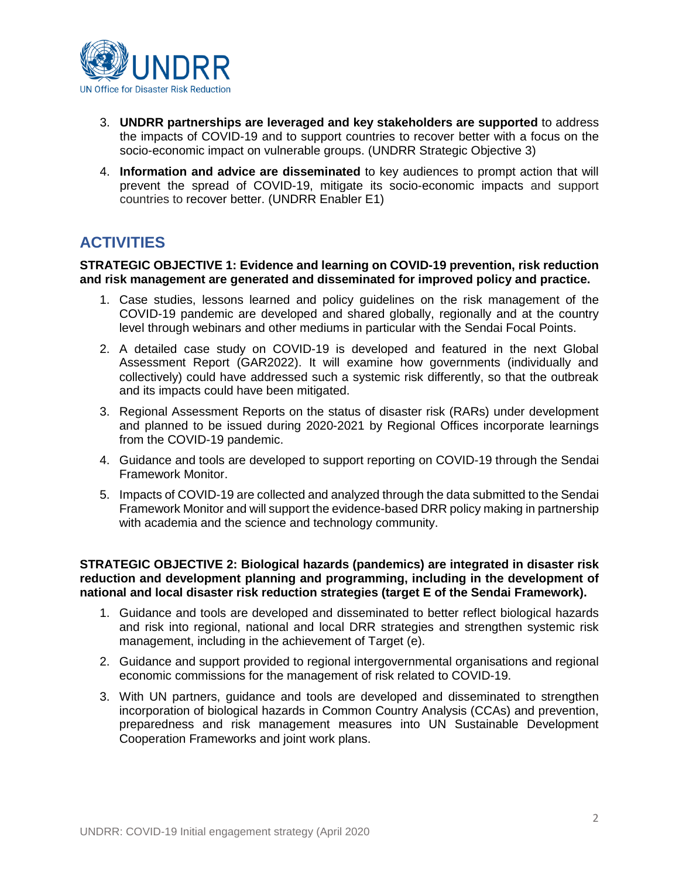

- 3. **UNDRR partnerships are leveraged and key stakeholders are supported** to address the impacts of COVID-19 and to support countries to recover better with a focus on the socio-economic impact on vulnerable groups. (UNDRR Strategic Objective 3)
- 4. **Information and advice are disseminated** to key audiences to prompt action that will prevent the spread of COVID-19, mitigate its socio-economic impacts and support countries to recover better. (UNDRR Enabler E1)

## **ACTIVITIES**

**STRATEGIC OBJECTIVE 1: Evidence and learning on COVID-19 prevention, risk reduction and risk management are generated and disseminated for improved policy and practice.**

- 1. Case studies, lessons learned and policy guidelines on the risk management of the COVID-19 pandemic are developed and shared globally, regionally and at the country level through webinars and other mediums in particular with the Sendai Focal Points.
- 2. A detailed case study on COVID-19 is developed and featured in the next Global Assessment Report (GAR2022). It will examine how governments (individually and collectively) could have addressed such a systemic risk differently, so that the outbreak and its impacts could have been mitigated.
- 3. Regional Assessment Reports on the status of disaster risk (RARs) under development and planned to be issued during 2020-2021 by Regional Offices incorporate learnings from the COVID-19 pandemic.
- 4. Guidance and tools are developed to support reporting on COVID-19 through the Sendai Framework Monitor.
- 5. Impacts of COVID-19 are collected and analyzed through the data submitted to the Sendai Framework Monitor and will support the evidence-based DRR policy making in partnership with academia and the science and technology community.

**STRATEGIC OBJECTIVE 2: Biological hazards (pandemics) are integrated in disaster risk reduction and development planning and programming, including in the development of national and local disaster risk reduction strategies (target E of the Sendai Framework).**

- 1. Guidance and tools are developed and disseminated to better reflect biological hazards and risk into regional, national and local DRR strategies and strengthen systemic risk management, including in the achievement of Target (e).
- 2. Guidance and support provided to regional intergovernmental organisations and regional economic commissions for the management of risk related to COVID-19.
- 3. With UN partners, guidance and tools are developed and disseminated to strengthen incorporation of biological hazards in Common Country Analysis (CCAs) and prevention, preparedness and risk management measures into UN Sustainable Development Cooperation Frameworks and joint work plans.